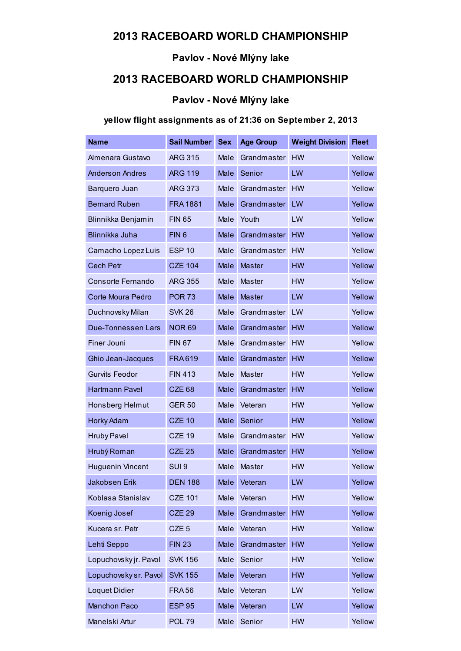### 2013 RACEBOARD WORLD CHAMPIONSHIP

## Pavlov - Nové Mlýny lake

## 2013 RACEBOARD WORLD CHAMPIONSHIP

### Pavlov - Nové Mlýny lake

### yellow flight assignments as of 21:36 on September 2, 2013

| <b>Name</b>               | <b>Sail Number</b> | <b>Sex</b>  | <b>Age Group</b> | <b>Weight Division</b> | <b>Fleet</b> |
|---------------------------|--------------------|-------------|------------------|------------------------|--------------|
| Almenara Gustavo          | <b>ARG 315</b>     | Male        | Grandmaster      | <b>HW</b>              | Yellow       |
| <b>Anderson Andres</b>    | <b>ARG 119</b>     | Male        | Senior           | LW                     | Yellow       |
| Barquero Juan             | <b>ARG 373</b>     | Male        | Grandmaster      | <b>HW</b>              | Yellow       |
| <b>Bernard Ruben</b>      | <b>FRA1881</b>     | Male        | Grandmaster      | LW                     | Yellow       |
| Blinnikka Benjamin        | <b>FIN 65</b>      | Male        | Youth            | LW                     | Yellow       |
| Blinnikka Juha            | FIN <sub>6</sub>   | Male        | Grandmaster      | <b>HW</b>              | Yellow       |
| Camacho Lopez Luis        | <b>ESP 10</b>      | Male        | Grandmaster      | <b>HW</b>              | Yellow       |
| <b>Cech Petr</b>          | <b>CZE 104</b>     | Male        | Master           | <b>HW</b>              | Yellow       |
| Consorte Fernando         | <b>ARG 355</b>     | Male        | Master           | <b>HW</b>              | Yellow       |
| Corte Moura Pedro         | <b>POR 73</b>      | Male        | Master           | LW                     | Yellow       |
| Duchnovsky Milan          | <b>SVK 26</b>      | Male        | Grandmaster      | LW                     | Yellow       |
| <b>Due-Tonnessen Lars</b> | <b>NOR 69</b>      | Male        | Grandmaster      | <b>HW</b>              | Yellow       |
| <b>Finer Jouni</b>        | <b>FIN 67</b>      | Male        | Grandmaster      | <b>HW</b>              | Yellow       |
| Ghio Jean-Jacques         | <b>FRA619</b>      | Male        | Grandmaster      | <b>HW</b>              | Yellow       |
| <b>Gurvits Feodor</b>     | <b>FIN 413</b>     | Male        | Master           | <b>HW</b>              | Yellow       |
| Hartmann Pavel            | <b>CZE 68</b>      | Male        | Grandmaster      | <b>HW</b>              | Yellow       |
| Honsberg Helmut           | <b>GER 50</b>      | Male        | Veteran          | <b>HW</b>              | Yellow       |
| Horky Adam                | <b>CZE 10</b>      | Male        | Senior           | <b>HW</b>              | Yellow       |
| <b>Hruby Pavel</b>        | <b>CZE 19</b>      | Male        | Grandmaster      | <b>HW</b>              | Yellow       |
| Hrubý Roman               | <b>CZE 25</b>      | Male        | Grandmaster      | HW                     | Yellow       |
| <b>Huguenin Vincent</b>   | SUI <sub>9</sub>   | Male        | Master           | <b>HW</b>              | Yellow       |
| Jakobsen Erik             | <b>DEN 188</b>     |             | Male Veteran     | LW                     | Yellow       |
| Koblasa Stanislav         | <b>CZE 101</b>     | Male        | Veteran          | HW                     | Yellow       |
| Koenig Josef              | <b>CZE 29</b>      | Male        | Grandmaster      | HW                     | Yellow       |
| Kucera sr. Petr           | CZE <sub>5</sub>   | Male        | Veteran          | <b>HW</b>              | Yellow       |
| Lehti Seppo               | <b>FIN 23</b>      | Male        | Grandmaster      | HW                     | Yellow       |
| Lopuchovsky jr. Pavol     | <b>SVK 156</b>     | Male        | Senior           | <b>HW</b>              | Yellow       |
| Lopuchovsky sr. Pavol     | <b>SVK 155</b>     | Male        | Veteran          | <b>HW</b>              | Yellow       |
| <b>Loquet Didier</b>      | <b>FRA56</b>       | Male        | Veteran          | LW                     | Yellow       |
| <b>Manchon Paco</b>       | <b>ESP 95</b>      | <b>Male</b> | Veteran          | LW                     | Yellow       |
| Manelski Artur            | <b>POL 79</b>      | Male        | Senior           | <b>HW</b>              | Yellow       |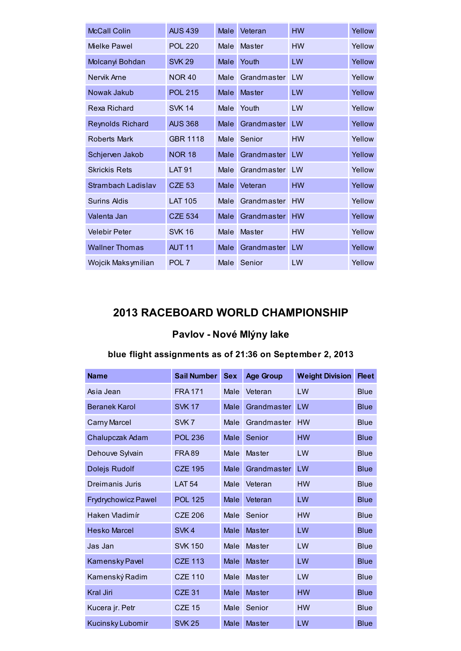| <b>McCall Colin</b>     | <b>AUS 439</b>    | Male | Veteran     | <b>HW</b> | Yellow |
|-------------------------|-------------------|------|-------------|-----------|--------|
| Mielke Pawel            | <b>POL 220</b>    | Male | Master      | <b>HW</b> | Yellow |
| Molcanyi Bohdan         | <b>SVK 29</b>     | Male | Youth       | <b>LW</b> | Yellow |
| Nervik Arne             | <b>NOR 40</b>     | Male | Grandmaster | LW        | Yellow |
| Nowak Jakub             | <b>POL 215</b>    | Male | Master      | LW        | Yellow |
| Rexa Richard            | <b>SVK 14</b>     | Male | Youth       | LW        | Yellow |
| <b>Reynolds Richard</b> | <b>AUS 368</b>    | Male | Grandmaster | I W       | Yellow |
| Roberts Mark            | <b>GBR 1118</b>   | Male | Senior      | <b>HW</b> | Yellow |
| Schjerven Jakob         | <b>NOR 18</b>     | Male | Grandmaster | <b>LW</b> | Yellow |
| <b>Skrickis Rets</b>    | <b>LAT 91</b>     | Male | Grandmaster | LW        | Yellow |
| Strambach Ladislav      | <b>CZE 53</b>     | Male | Veteran     | <b>HW</b> | Yellow |
| Surins Aldis            | <b>LAT 105</b>    | Male | Grandmaster | <b>HW</b> | Yellow |
| Valenta Jan             | <b>CZE 534</b>    | Male | Grandmaster | <b>HW</b> | Yellow |
| <b>Velebir Peter</b>    | <b>SVK 16</b>     | Male | Master      | <b>HW</b> | Yellow |
| <b>Wallner Thomas</b>   | AUT <sub>11</sub> | Male | Grandmaster | LW        | Yellow |
| Wojcik Maksymilian      | POL <sub>7</sub>  | Male | Senior      | LW        | Yellow |

## 2013 RACEBOARD WORLD CHAMPIONSHIP

# Pavlov - Nové Mlýny lake

### blue flight assignments as of 21:36 on September 2, 2013

| <b>Name</b>                | <b>Sail Number</b> | <b>Sex</b> | <b>Age Group</b> | <b>Weight Division</b> | <b>Fleet</b> |
|----------------------------|--------------------|------------|------------------|------------------------|--------------|
| Asia Jean                  | <b>FRA171</b>      | Male       | Veteran          | LW                     | <b>Blue</b>  |
| <b>Beranek Karol</b>       | <b>SVK 17</b>      | Male       | Grandmaster      | LW                     | <b>Blue</b>  |
| <b>Carny Marcel</b>        | SVK <sub>7</sub>   | Male       | Grandmaster      | <b>HW</b>              | <b>Blue</b>  |
| Chalupczak Adam            | <b>POL 236</b>     | Male       | Senior           | <b>HW</b>              | <b>Blue</b>  |
| Dehouve Sylvain            | <b>FRA89</b>       | Male       | Master           | LW                     | <b>Blue</b>  |
| Dolejs Rudolf              | <b>CZE 195</b>     | Male       | Grandmaster      | LW                     | <b>Blue</b>  |
| Dreimanis Juris            | <b>LAT 54</b>      | Male       | Veteran          | <b>HW</b>              | <b>Blue</b>  |
| <b>Frydrychowicz Pawel</b> | <b>POL 125</b>     | Male       | Veteran          | LW                     | <b>Blue</b>  |
| Haken Vladimír             | <b>CZE 206</b>     | Male       | Senior           | <b>HW</b>              | <b>Blue</b>  |
| <b>Hesko Marcel</b>        | SVK4               | Male       | <b>Master</b>    | LW                     | <b>Blue</b>  |
| Jas Jan                    | <b>SVK 150</b>     | Male       | Master           | LW                     | <b>Blue</b>  |
| Kamensky Pavel             | <b>CZE 113</b>     | Male       | <b>Master</b>    | LW                     | <b>Blue</b>  |
| Kamenský Radim             | <b>CZE 110</b>     | Male       | Master           | LW                     | <b>Blue</b>  |
| <b>Kral Jiri</b>           | CZE <sub>31</sub>  | Male       | <b>Master</b>    | HW                     | <b>Blue</b>  |
| Kucera jr. Petr            | <b>CZE 15</b>      | Male       | Senior           | <b>HW</b>              | <b>Blue</b>  |
| Kucinsky Lubomir           | <b>SVK 25</b>      | Male       | <b>Master</b>    | LW                     | <b>Blue</b>  |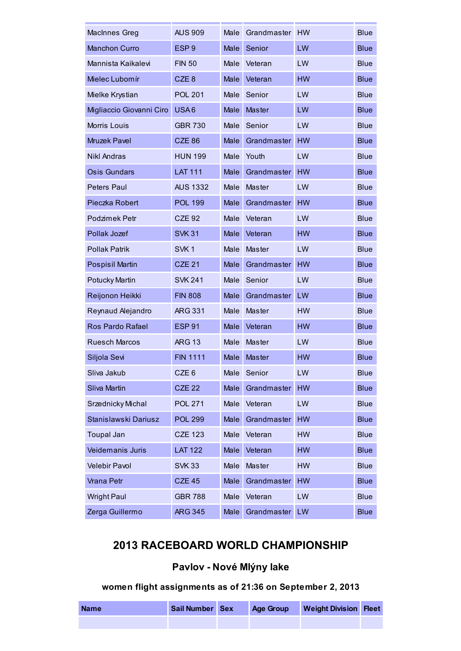| MacInnes Greg            | <b>AUS 909</b>   | Male        | Grandmaster   | <b>HW</b> | <b>Blue</b> |
|--------------------------|------------------|-------------|---------------|-----------|-------------|
| <b>Manchon Curro</b>     | ESP <sub>9</sub> | <b>Male</b> | Senior        | LW        | <b>Blue</b> |
| Mannista Kaikalevi       | <b>FIN 50</b>    | Male        | Veteran       | LW        | <b>Blue</b> |
| Mielec Lubomír           | CZE <sub>8</sub> | Male        | Veteran       | <b>HW</b> | <b>Blue</b> |
| Mielke Krystian          | <b>POL 201</b>   | Male        | Senior        | LW        | <b>Blue</b> |
| Migliaccio Giovanni Ciro | USA6             | <b>Male</b> | <b>Master</b> | LW        | <b>Blue</b> |
| Morris Louis             | <b>GBR 730</b>   | Male        | Senior        | LW        | <b>Blue</b> |
| <b>Mruzek Pavel</b>      | <b>CZE 86</b>    | <b>Male</b> | Grandmaster   | <b>HW</b> | <b>Blue</b> |
| <b>Nikl Andras</b>       | <b>HUN 199</b>   | Male        | Youth         | LW        | <b>Blue</b> |
| <b>Osis Gundars</b>      | <b>LAT 111</b>   | <b>Male</b> | Grandmaster   | <b>HW</b> | <b>Blue</b> |
| <b>Peters Paul</b>       | <b>AUS 1332</b>  | Male        | Master        | LW        | <b>Blue</b> |
| Pieczka Robert           | <b>POL 199</b>   | <b>Male</b> | Grandmaster   | <b>HW</b> | <b>Blue</b> |
| Podzimek Petr            | <b>CZE 92</b>    | Male        | Veteran       | LW        | <b>Blue</b> |
| Pollak Jozef             | <b>SVK 31</b>    | <b>Male</b> | Veteran       | <b>HW</b> | <b>Blue</b> |
| <b>Pollak Patrik</b>     | SVK <sub>1</sub> | Male        | Master        | LW        | <b>Blue</b> |
| <b>Pospisil Martin</b>   | <b>CZE 21</b>    | <b>Male</b> | Grandmaster   | <b>HW</b> | <b>Blue</b> |
| <b>Potucky Martin</b>    | <b>SVK 241</b>   | Male        | Senior        | LW        | <b>Blue</b> |
| Reijonon Heikki          | <b>FIN 808</b>   | Male        | Grandmaster   | LW        | <b>Blue</b> |
| Reynaud Alejandro        | <b>ARG 331</b>   | Male        | Master        | <b>HW</b> | <b>Blue</b> |
| Ros Pardo Rafael         | <b>ESP 91</b>    | <b>Male</b> | Veteran       | <b>HW</b> | <b>Blue</b> |
| <b>Ruesch Marcos</b>     | <b>ARG 13</b>    | Male        | Master        | LW        | <b>Blue</b> |
| Siljola Sevi             | <b>FIN 1111</b>  | Male        | Master        | <b>HW</b> | <b>Blue</b> |
| Sliva Jakub              | CZE <sub>6</sub> | Male        | Senior        | LW        | <b>Blue</b> |
| Sliva Martin             | <b>CZE 22</b>    | Male        | Grandmaster   | <b>HW</b> | <b>Blue</b> |
| Srzednicky Michal        | <b>POL 271</b>   | Male        | Veteran       | LW        | <b>Blue</b> |
| Stanislawski Dariusz     | <b>POL 299</b>   | Male        | Grandmaster   | <b>HW</b> | <b>Blue</b> |
| <b>Toupal Jan</b>        | <b>CZE 123</b>   | Male        | Veteran       | <b>HW</b> | <b>Blue</b> |
| Veidemanis Juris         | <b>LAT 122</b>   | Male        | Veteran       | <b>HW</b> | <b>Blue</b> |
| <b>Velebir Pavol</b>     | <b>SVK 33</b>    | Male        | Master        | <b>HW</b> | <b>Blue</b> |
| Vrana Petr               | <b>CZE 45</b>    | Male        | Grandmaster   | <b>HW</b> | <b>Blue</b> |
| <b>Wright Paul</b>       | <b>GBR 788</b>   | Male        | Veteran       | LW        | <b>Blue</b> |
| Zerga Guillermo          | <b>ARG 345</b>   | Male        | Grandmaster   | LW        | <b>Blue</b> |

## 2013 RACEBOARD WORLD CHAMPIONSHIP

# Pavlov - Nové Mlýny lake

### women flight assignments as of 21:36 on September 2, 2013

| <b>Name</b> | <b>Sail Number Sex</b> | <b>Age Group</b> | <b>Weight Division Fleet</b> |  |
|-------------|------------------------|------------------|------------------------------|--|
|             |                        |                  |                              |  |